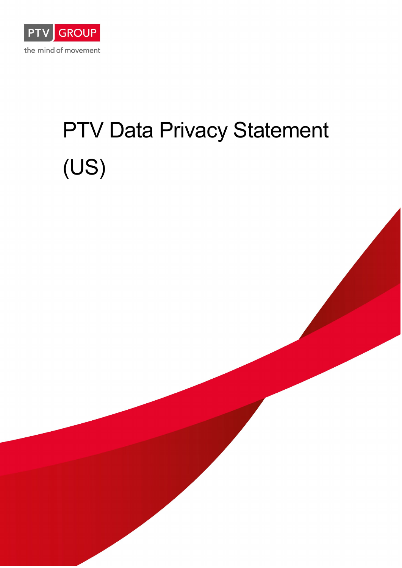

# PTV Data Privacy Statement (US)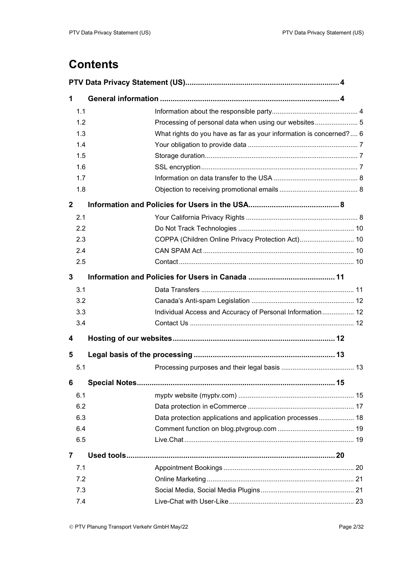# **Contents**

| 1            |  |                                                                    |  |  |  |  |
|--------------|--|--------------------------------------------------------------------|--|--|--|--|
| 1.1          |  |                                                                    |  |  |  |  |
| 1.2          |  | Processing of personal data when using our websites 5              |  |  |  |  |
| 1.3          |  | What rights do you have as far as your information is concerned? 6 |  |  |  |  |
| 1.4          |  |                                                                    |  |  |  |  |
| 1.5          |  |                                                                    |  |  |  |  |
| 1.6          |  |                                                                    |  |  |  |  |
| 1.7          |  |                                                                    |  |  |  |  |
| 1.8          |  |                                                                    |  |  |  |  |
| $\mathbf{2}$ |  |                                                                    |  |  |  |  |
| 2.1          |  |                                                                    |  |  |  |  |
| 2.2          |  |                                                                    |  |  |  |  |
| 2.3          |  | COPPA (Children Online Privacy Protection Act) 10                  |  |  |  |  |
| 2.4          |  |                                                                    |  |  |  |  |
| 2.5          |  |                                                                    |  |  |  |  |
| 3            |  |                                                                    |  |  |  |  |
| 3.1          |  |                                                                    |  |  |  |  |
| 3.2          |  |                                                                    |  |  |  |  |
| 3.3          |  | Individual Access and Accuracy of Personal Information 12          |  |  |  |  |
| 3.4          |  |                                                                    |  |  |  |  |
| 4            |  |                                                                    |  |  |  |  |
| 5            |  |                                                                    |  |  |  |  |
| 5.1          |  |                                                                    |  |  |  |  |
| 6            |  |                                                                    |  |  |  |  |
| 6.1          |  |                                                                    |  |  |  |  |
| 6.2          |  |                                                                    |  |  |  |  |
| 6.3          |  | Data protection applications and application processes 18          |  |  |  |  |
| 6.4          |  |                                                                    |  |  |  |  |
| 6.5          |  |                                                                    |  |  |  |  |
| 7            |  |                                                                    |  |  |  |  |
| 7.1          |  |                                                                    |  |  |  |  |
| 7.2          |  |                                                                    |  |  |  |  |
| 7.3          |  |                                                                    |  |  |  |  |
| 7.4          |  |                                                                    |  |  |  |  |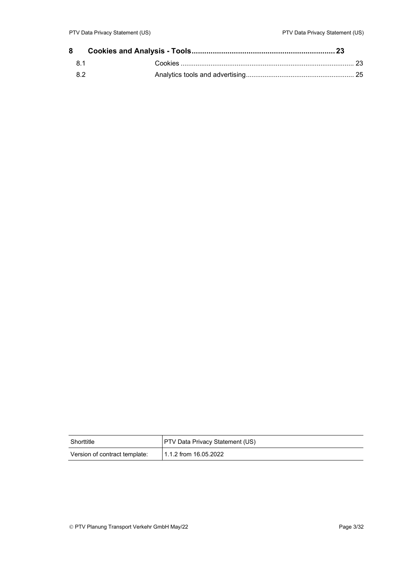| 8    |  |
|------|--|
| - 81 |  |
| 82   |  |

| Shorttitle                    | PTV Data Privacy Statement (US) |
|-------------------------------|---------------------------------|
| Version of contract template: | 1.1.2 from 16.05.2022           |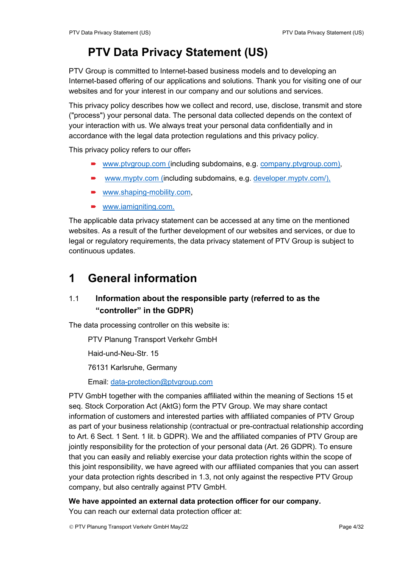# <span id="page-3-0"></span>**PTV Data Privacy Statement (US)**

PTV Group is committed to Internet-based business models and to developing an Internet-based offering of our applications and solutions. Thank you for visiting one of our websites and for your interest in our company and our solutions and services.

This privacy policy describes how we collect and record, use, disclose, transmit and store ("process") your personal data. The personal data collected depends on the context of your interaction with us. We always treat your personal data confidentially and in accordance with the legal data protection regulations and this privacy policy.

This privacy policy refers to our offer:

- [www.ptvgroup.com](http://www.ptvgroup.com/) (including subdomains, e.g. [company.ptvgroup.com\)](http://company.ptvgroup.com/),
- [www.myptv.com](http://www.myptv.com/) (including subdomains, e.g. [developer.myptv.com/\)](https://developer.myptv.com/),
- [www.shaping-mobility.com,](http://www.shaping-mobility.com/)
- [www.iamigniting.com.](http://www.iamigniting.com/)

The applicable data privacy statement can be accessed at any time on the mentioned websites. As a result of the further development of our websites and services, or due to legal or regulatory requirements, the data privacy statement of PTV Group is subject to continuous updates.

# <span id="page-3-1"></span>**1 General information**

# <span id="page-3-2"></span>1.1 **Information about the responsible party (referred to as the "controller" in the GDPR)**

The data processing controller on this website is:

PTV Planung Transport Verkehr GmbH

Haid-und-Neu-Str. 15

76131 Karlsruhe, Germany

Email: [data-protection@ptvgroup.com](mailto:data-protection@ptvgroup.com) 

PTV GmbH together with the companies affiliated within the meaning of Sections 15 et seq. Stock Corporation Act (AktG) form the PTV Group. We may share contact information of customers and interested parties with affiliated companies of PTV Group as part of your business relationship (contractual or pre-contractual relationship according to Art. 6 Sect. 1 Sent. 1 lit. b GDPR). We and the affiliated companies of PTV Group are jointly responsibility for the protection of your personal data (Art. 26 GDPR). To ensure that you can easily and reliably exercise your data protection rights within the scope of this joint responsibility, we have agreed with our affiliated companies that you can assert your data protection rights described in 1.3, not only against the respective PTV Group company, but also centrally against PTV GmbH.

**We have appointed an external data protection officer for our company.** You can reach our external data protection officer at: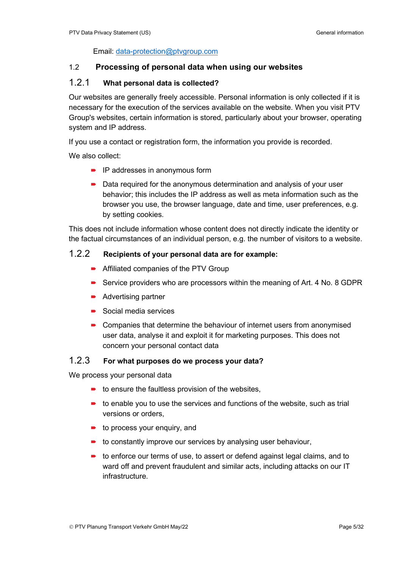Email: [data-protection@ptvgroup.com](mailto:data-protection@ptvgroup.com)

#### <span id="page-4-0"></span>1.2 **Processing of personal data when using our websites**

#### 1.2.1 **What personal data is collected?**

Our websites are generally freely accessible. Personal information is only collected if it is necessary for the execution of the services available on the website. When you visit PTV Group's websites, certain information is stored, particularly about your browser, operating system and IP address.

If you use a contact or registration form, the information you provide is recorded.

We also collect:

- **P** IP addresses in anonymous form
- Data required for the anonymous determination and analysis of your user behavior; this includes the IP address as well as meta information such as the browser you use, the browser language, date and time, user preferences, e.g. by setting cookies.

This does not include information whose content does not directly indicate the identity or the factual circumstances of an individual person, e.g. the number of visitors to a website.

#### 1.2.2 **Recipients of your personal data are for example:**

- **■** Affiliated companies of the PTV Group
- Service providers who are processors within the meaning of Art. 4 No. 8 GDPR
- Advertising partner
- $\bullet$  Social media services
- Companies that determine the behaviour of internet users from anonymised user data, analyse it and exploit it for marketing purposes. This does not concern your personal contact data

# 1.2.3 **For what purposes do we process your data?**

We process your personal data

- $\bullet$  to ensure the faultless provision of the websites,
- $\bullet$  to enable you to use the services and functions of the website, such as trial versions or orders,
- $\bullet$  to process your enquiry, and
- $\bullet$  to constantly improve our services by analysing user behaviour,
- $\bullet$  to enforce our terms of use, to assert or defend against legal claims, and to ward off and prevent fraudulent and similar acts, including attacks on our IT infrastructure.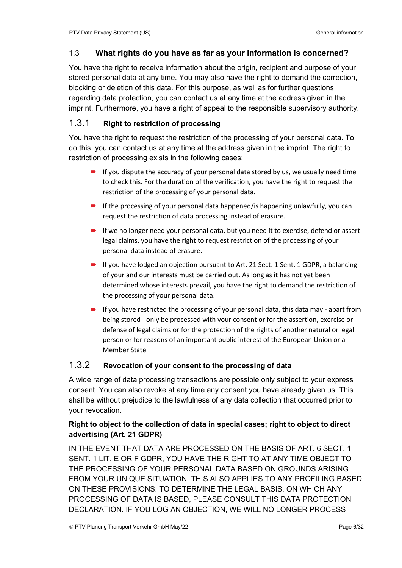# <span id="page-5-0"></span>1.3 **What rights do you have as far as your information is concerned?**

You have the right to receive information about the origin, recipient and purpose of your stored personal data at any time. You may also have the right to demand the correction, blocking or deletion of this data. For this purpose, as well as for further questions regarding data protection, you can contact us at any time at the address given in the imprint. Furthermore, you have a right of appeal to the responsible supervisory authority.

# 1.3.1 **Right to restriction of processing**

You have the right to request the restriction of the processing of your personal data. To do this, you can contact us at any time at the address given in the imprint. The right to restriction of processing exists in the following cases:

- $\blacksquare$  If you dispute the accuracy of your personal data stored by us, we usually need time to check this. For the duration of the verification, you have the right to request the restriction of the processing of your personal data.
- If the processing of your personal data happened/is happening unlawfully, you can request the restriction of data processing instead of erasure.
- If we no longer need your personal data, but you need it to exercise, defend or assert legal claims, you have the right to request restriction of the processing of your personal data instead of erasure.
- If you have lodged an objection pursuant to Art. 21 Sect. 1 Sent. 1 GDPR, a balancing of your and our interests must be carried out. As long as it has not yet been determined whose interests prevail, you have the right to demand the restriction of the processing of your personal data.
- $\blacksquare$  If you have restricted the processing of your personal data, this data may apart from being stored - only be processed with your consent or for the assertion, exercise or defense of legal claims or for the protection of the rights of another natural or legal person or for reasons of an important public interest of the European Union or a Member State

# 1.3.2 **Revocation of your consent to the processing of data**

A wide range of data processing transactions are possible only subject to your express consent. You can also revoke at any time any consent you have already given us. This shall be without prejudice to the lawfulness of any data collection that occurred prior to your revocation.

# **Right to object to the collection of data in special cases; right to object to direct advertising (Art. 21 GDPR)**

IN THE EVENT THAT DATA ARE PROCESSED ON THE BASIS OF ART. 6 SECT. 1 SENT. 1 LIT. E OR F GDPR, YOU HAVE THE RIGHT TO AT ANY TIME OBJECT TO THE PROCESSING OF YOUR PERSONAL DATA BASED ON GROUNDS ARISING FROM YOUR UNIQUE SITUATION. THIS ALSO APPLIES TO ANY PROFILING BASED ON THESE PROVISIONS. TO DETERMINE THE LEGAL BASIS, ON WHICH ANY PROCESSING OF DATA IS BASED, PLEASE CONSULT THIS DATA PROTECTION DECLARATION. IF YOU LOG AN OBJECTION, WE WILL NO LONGER PROCESS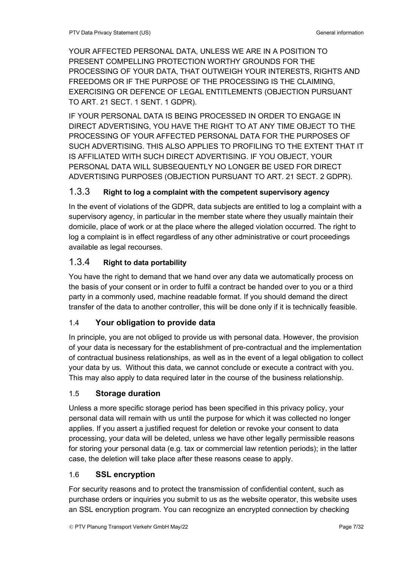YOUR AFFECTED PERSONAL DATA, UNLESS WE ARE IN A POSITION TO PRESENT COMPELLING PROTECTION WORTHY GROUNDS FOR THE PROCESSING OF YOUR DATA, THAT OUTWEIGH YOUR INTERESTS, RIGHTS AND FREEDOMS OR IF THE PURPOSE OF THE PROCESSING IS THE CLAIMING, EXERCISING OR DEFENCE OF LEGAL ENTITLEMENTS (OBJECTION PURSUANT TO ART. 21 SECT. 1 SENT. 1 GDPR).

IF YOUR PERSONAL DATA IS BEING PROCESSED IN ORDER TO ENGAGE IN DIRECT ADVERTISING, YOU HAVE THE RIGHT TO AT ANY TIME OBJECT TO THE PROCESSING OF YOUR AFFECTED PERSONAL DATA FOR THE PURPOSES OF SUCH ADVERTISING. THIS ALSO APPLIES TO PROFILING TO THE EXTENT THAT IT IS AFFILIATED WITH SUCH DIRECT ADVERTISING. IF YOU OBJECT, YOUR PERSONAL DATA WILL SUBSEQUENTLY NO LONGER BE USED FOR DIRECT ADVERTISING PURPOSES (OBJECTION PURSUANT TO ART. 21 SECT. 2 GDPR).

# 1.3.3 **Right to log a complaint with the competent supervisory agency**

In the event of violations of the GDPR, data subjects are entitled to log a complaint with a supervisory agency, in particular in the member state where they usually maintain their domicile, place of work or at the place where the alleged violation occurred. The right to log a complaint is in effect regardless of any other administrative or court proceedings available as legal recourses.

# 1.3.4 **Right to data portability**

You have the right to demand that we hand over any data we automatically process on the basis of your consent or in order to fulfil a contract be handed over to you or a third party in a commonly used, machine readable format. If you should demand the direct transfer of the data to another controller, this will be done only if it is technically feasible.

# <span id="page-6-0"></span>1.4 **Your obligation to provide data**

In principle, you are not obliged to provide us with personal data. However, the provision of your data is necessary for the establishment of pre-contractual and the implementation of contractual business relationships, as well as in the event of a legal obligation to collect your data by us. Without this data, we cannot conclude or execute a contract with you. This may also apply to data required later in the course of the business relationship.

# <span id="page-6-1"></span>1.5 **Storage duration**

Unless a more specific storage period has been specified in this privacy policy, your personal data will remain with us until the purpose for which it was collected no longer applies. If you assert a justified request for deletion or revoke your consent to data processing, your data will be deleted, unless we have other legally permissible reasons for storing your personal data (e.g. tax or commercial law retention periods); in the latter case, the deletion will take place after these reasons cease to apply.

# <span id="page-6-2"></span>1.6 **SSL encryption**

For security reasons and to protect the transmission of confidential content, such as purchase orders or inquiries you submit to us as the website operator, this website uses an SSL encryption program. You can recognize an encrypted connection by checking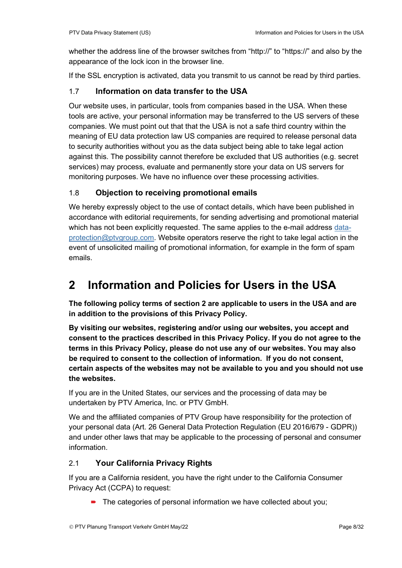whether the address line of the browser switches from "http://" to "https://" and also by the appearance of the lock icon in the browser line.

If the SSL encryption is activated, data you transmit to us cannot be read by third parties.

#### <span id="page-7-0"></span>1.7 **Information on data transfer to the USA**

Our website uses, in particular, tools from companies based in the USA. When these tools are active, your personal information may be transferred to the US servers of these companies. We must point out that that the USA is not a safe third country within the meaning of EU data protection law US companies are required to release personal data to security authorities without you as the data subject being able to take legal action against this. The possibility cannot therefore be excluded that US authorities (e.g. secret services) may process, evaluate and permanently store your data on US servers for monitoring purposes. We have no influence over these processing activities.

# <span id="page-7-1"></span>1.8 **Objection to receiving promotional emails**

We hereby expressly object to the use of contact details, which have been published in accordance with editorial requirements, for sending advertising and promotional material which has not been explicitly requested. The same applies to the e-mail address [data](mailto:data-protection@ptvgroup.com)[protection@ptvgroup.com.](mailto:data-protection@ptvgroup.com) Website operators reserve the right to take legal action in the event of unsolicited mailing of promotional information, for example in the form of spam emails.

# <span id="page-7-2"></span>**2 Information and Policies for Users in the USA**

**The following policy terms of section 2 are applicable to users in the USA and are in addition to the provisions of this Privacy Policy.**

**By visiting our websites, registering and/or using our websites, you accept and consent to the practices described in this Privacy Policy. If you do not agree to the terms in this Privacy Policy, please do not use any of our websites. You may also be required to consent to the collection of information. If you do not consent, certain aspects of the websites may not be available to you and you should not use the websites.**

If you are in the United States, our services and the processing of data may be undertaken by PTV America, Inc. or PTV GmbH.

We and the affiliated companies of PTV Group have responsibility for the protection of your personal data (Art. 26 General Data Protection Regulation (EU 2016/679 - GDPR)) and under other laws that may be applicable to the processing of personal and consumer information.

# <span id="page-7-3"></span>2.1 **Your California Privacy Rights**

If you are a California resident, you have the right under to the California Consumer Privacy Act (CCPA) to request:

• The categories of personal information we have collected about you;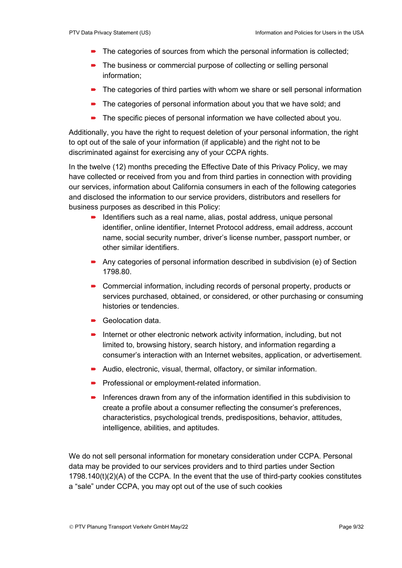- The categories of sources from which the personal information is collected;
- The business or commercial purpose of collecting or selling personal information;
- The categories of third parties with whom we share or sell personal information
- $\blacksquare$  The categories of personal information about you that we have sold; and
- The specific pieces of personal information we have collected about you.

Additionally, you have the right to request deletion of your personal information, the right to opt out of the sale of your information (if applicable) and the right not to be discriminated against for exercising any of your CCPA rights.

In the twelve (12) months preceding the Effective Date of this Privacy Policy, we may have collected or received from you and from third parties in connection with providing our services, information about California consumers in each of the following categories and disclosed the information to our service providers, distributors and resellers for business purposes as described in this Policy:

- $\blacksquare$  Identifiers such as a real name, alias, postal address, unique personal identifier, online identifier, Internet Protocol address, email address, account name, social security number, driver's license number, passport number, or other similar identifiers.
- Any categories of personal information described in subdivision (e) of Section 1798.80.
- Commercial information, including records of personal property, products or services purchased, obtained, or considered, or other purchasing or consuming histories or tendencies.
- Geolocation data.
- Internet or other electronic network activity information, including, but not limited to, browsing history, search history, and information regarding a consumer's interaction with an Internet websites, application, or advertisement.
- Audio, electronic, visual, thermal, olfactory, or similar information.
- **Professional or employment-related information.**
- Inferences drawn from any of the information identified in this subdivision to create a profile about a consumer reflecting the consumer's preferences, characteristics, psychological trends, predispositions, behavior, attitudes, intelligence, abilities, and aptitudes.

We do not sell personal information for monetary consideration under CCPA. Personal data may be provided to our services providers and to third parties under Section 1798.140(t)(2)(A) of the CCPA. In the event that the use of third-party cookies constitutes a "sale" under CCPA, you may opt out of the use of such cookies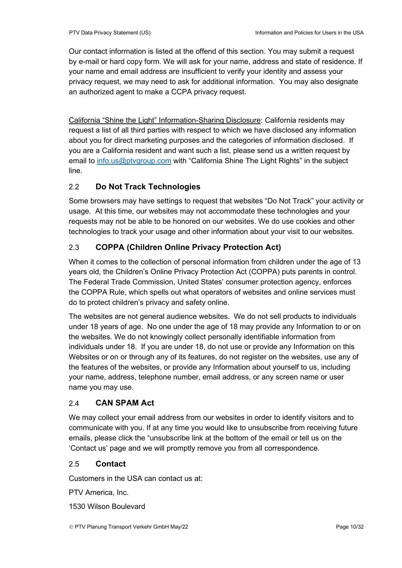Our contact information is listed at the offend of this section. You may submit a request by e-mail or hard copy form. We will ask for your name, address and state of residence. If your name and email address are insufficient to verify your identity and assess your privacy request, we may need to ask for additional information. You may also designate an authorized agent to make a CCPA privacy request.

California "Shine the Light" Information-Sharing Disclosure: California residents may request a list of all third parties with respect to which we have disclosed any information about you for direct marketing purposes and the categories of information disclosed. If you are a California resident and want such a list, please send us a written request by email to [info.us@ptvgroup.com](mailto:info.us@ptvgroup.com) with "California Shine The Light Rights" in the subject line.

# <span id="page-9-0"></span>2.2 **Do Not Track Technologies**

Some browsers may have settings to request that websites "Do Not Track" your activity or usage. At this time, our websites may not accommodate these technologies and your requests may not be able to be honored on our websites. We do use cookies and other technologies to track your usage and other information about your visit to our websites.

# <span id="page-9-1"></span>2.3 **COPPA (Children Online Privacy Protection Act)**

When it comes to the collection of personal information from children under the age of 13 years old, the Children's Online Privacy Protection Act (COPPA) puts parents in control. The Federal Trade Commission, United States' consumer protection agency, enforces the COPPA Rule, which spells out what operators of websites and online services must do to protect children's privacy and safety online.

The websites are not general audience websites. We do not sell products to individuals under 18 years of age. No one under the age of 18 may provide any Information to or on the websites. We do not knowingly collect personally identifiable information from individuals under 18. If you are under 18, do not use or provide any Information on this Websites or on or through any of its features, do not register on the websites, use any of the features of the websites, or provide any Information about yourself to us, including your name, address, telephone number, email address, or any screen name or user name you may use.

# <span id="page-9-2"></span>2.4 **CAN SPAM Act**

We may collect your email address from our websites in order to identify visitors and to communicate with you. If at any time you would like to unsubscribe from receiving future emails, please click the "unsubscribe link at the bottom of the email or tell us on the 'Contact us' page and we will promptly remove you from all correspondence.

#### <span id="page-9-3"></span>2.5 **Contact**

Customers in the USA can contact us at:

PTV America, Inc.

1530 Wilson Boulevard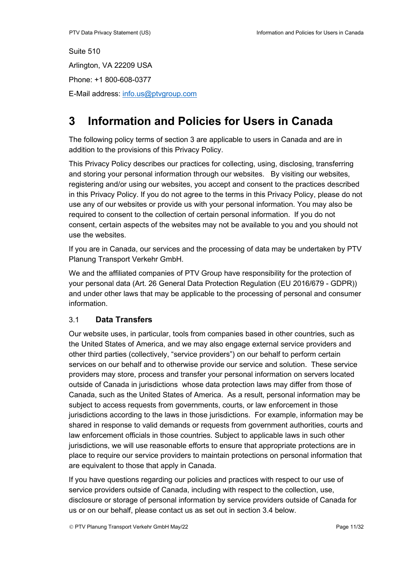Suite 510 Arlington, VA 22209 USA Phone: +1 800-608-0377 E-Mail address: [info.us@ptvgroup.com](mailto:info.us@ptvgroup.com)

# <span id="page-10-0"></span>**3 Information and Policies for Users in Canada**

The following policy terms of section 3 are applicable to users in Canada and are in addition to the provisions of this Privacy Policy.

This Privacy Policy describes our practices for collecting, using, disclosing, transferring and storing your personal information through our websites. By visiting our websites, registering and/or using our websites, you accept and consent to the practices described in this Privacy Policy. If you do not agree to the terms in this Privacy Policy, please do not use any of our websites or provide us with your personal information. You may also be required to consent to the collection of certain personal information. If you do not consent, certain aspects of the websites may not be available to you and you should not use the websites.

If you are in Canada, our services and the processing of data may be undertaken by PTV Planung Transport Verkehr GmbH.

We and the affiliated companies of PTV Group have responsibility for the protection of your personal data (Art. 26 General Data Protection Regulation (EU 2016/679 - GDPR)) and under other laws that may be applicable to the processing of personal and consumer information.

# <span id="page-10-1"></span>3.1 **Data Transfers**

Our website uses, in particular, tools from companies based in other countries, such as the United States of America, and we may also engage external service providers and other third parties (collectively, "service providers") on our behalf to perform certain services on our behalf and to otherwise provide our service and solution. These service providers may store, process and transfer your personal information on servers located outside of Canada in jurisdictions whose data protection laws may differ from those of Canada, such as the United States of America. As a result, personal information may be subject to access requests from governments, courts, or law enforcement in those jurisdictions according to the laws in those jurisdictions. For example, information may be shared in response to valid demands or requests from government authorities, courts and law enforcement officials in those countries. Subject to applicable laws in such other jurisdictions, we will use reasonable efforts to ensure that appropriate protections are in place to require our service providers to maintain protections on personal information that are equivalent to those that apply in Canada.

If you have questions regarding our policies and practices with respect to our use of service providers outside of Canada, including with respect to the collection, use, disclosure or storage of personal information by service providers outside of Canada for us or on our behalf, please contact us as set out in section 3.4 below.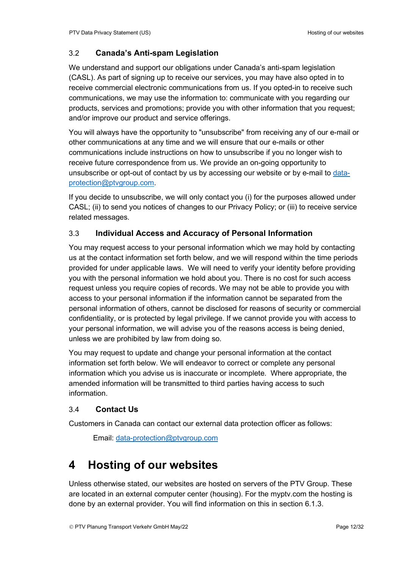# <span id="page-11-0"></span>3.2 **Canada's Anti-spam Legislation**

We understand and support our obligations under Canada's anti-spam legislation (CASL). As part of signing up to receive our services, you may have also opted in to receive commercial electronic communications from us. If you opted-in to receive such communications, we may use the information to: communicate with you regarding our products, services and promotions; provide you with other information that you request; and/or improve our product and service offerings.

You will always have the opportunity to "unsubscribe" from receiving any of our e-mail or other communications at any time and we will ensure that our e-mails or other communications include instructions on how to unsubscribe if you no longer wish to receive future correspondence from us. We provide an on-going opportunity to unsubscribe or opt-out of contact by us by accessing our website or by e-mail to [data](mailto:data-protection@ptvgroup.com)[protection@ptvgroup.com.](mailto:data-protection@ptvgroup.com)

If you decide to unsubscribe, we will only contact you (i) for the purposes allowed under CASL; (ii) to send you notices of changes to our Privacy Policy; or (iii) to receive service related messages.

# <span id="page-11-1"></span>3.3 **Individual Access and Accuracy of Personal Information**

You may request access to your personal information which we may hold by contacting us at the contact information set forth below, and we will respond within the time periods provided for under applicable laws. We will need to verify your identity before providing you with the personal information we hold about you. There is no cost for such access request unless you require copies of records. We may not be able to provide you with access to your personal information if the information cannot be separated from the personal information of others, cannot be disclosed for reasons of security or commercial confidentiality, or is protected by legal privilege. If we cannot provide you with access to your personal information, we will advise you of the reasons access is being denied, unless we are prohibited by law from doing so.

You may request to update and change your personal information at the contact information set forth below. We will endeavor to correct or complete any personal information which you advise us is inaccurate or incomplete. Where appropriate, the amended information will be transmitted to third parties having access to such information.

# <span id="page-11-2"></span>3.4 **Contact Us**

Customers in Canada can contact our external data protection officer as follows:

Email: [data-protection@ptvgroup.com](mailto:data-protection@ptvgroup.com)

# <span id="page-11-3"></span>**4 Hosting of our websites**

Unless otherwise stated, our websites are hosted on servers of the PTV Group. These are located in an external computer center (housing). For the myptv.com the hosting is done by an external provider. You will find information on this in section 6.1.3.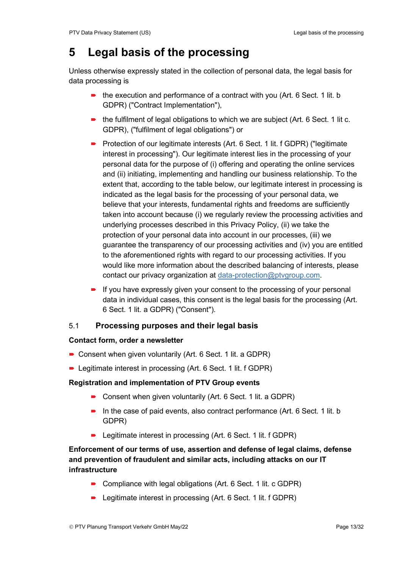# <span id="page-12-0"></span>**5 Legal basis of the processing**

Unless otherwise expressly stated in the collection of personal data, the legal basis for data processing is

- the execution and performance of a contract with you (Art. 6 Sect. 1 lit. b) GDPR) ("Contract Implementation"),
- $\blacksquare$  the fulfilment of legal obligations to which we are subject (Art. 6 Sect. 1 lit c. GDPR), ("fulfilment of legal obligations") or
- Protection of our legitimate interests (Art. 6 Sect. 1 lit. f GDPR) ("legitimate interest in processing"). Our legitimate interest lies in the processing of your personal data for the purpose of (i) offering and operating the online services and (ii) initiating, implementing and handling our business relationship. To the extent that, according to the table below, our legitimate interest in processing is indicated as the legal basis for the processing of your personal data, we believe that your interests, fundamental rights and freedoms are sufficiently taken into account because (i) we regularly review the processing activities and underlying processes described in this Privacy Policy, (ii) we take the protection of your personal data into account in our processes, (iii) we guarantee the transparency of our processing activities and (iv) you are entitled to the aforementioned rights with regard to our processing activities. If you would like more information about the described balancing of interests, please contact our privacy organization at [data-protection@ptvgroup.com.](mailto:data-protection@ptvgroup.com)
- If you have expressly given your consent to the processing of your personal data in individual cases, this consent is the legal basis for the processing (Art. 6 Sect. 1 lit. a GDPR) ("Consent").

#### <span id="page-12-1"></span>5.1 **Processing purposes and their legal basis**

#### **Contact form, order a newsletter**

- Consent when given voluntarily (Art. 6 Sect. 1 lit. a GDPR)
- Legitimate interest in processing (Art. 6 Sect. 1 lit. f GDPR)

#### **Registration and implementation of PTV Group events**

- Consent when given voluntarily (Art. 6 Sect. 1 lit. a GDPR)
- In the case of paid events, also contract performance (Art. 6 Sect. 1 lit. b GDPR)
- Legitimate interest in processing (Art. 6 Sect. 1 lit. f GDPR)

# **Enforcement of our terms of use, assertion and defense of legal claims, defense and prevention of fraudulent and similar acts, including attacks on our IT infrastructure**

- Compliance with legal obligations (Art. 6 Sect. 1 lit. c GDPR)
- Legitimate interest in processing (Art. 6 Sect. 1 lit. f GDPR)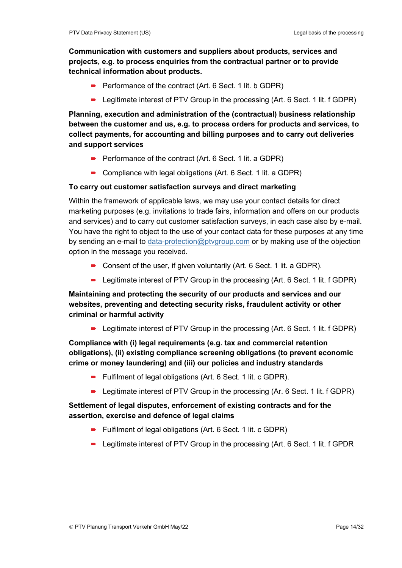**Communication with customers and suppliers about products, services and projects, e.g. to process enquiries from the contractual partner or to provide technical information about products.**

- Performance of the contract (Art. 6 Sect. 1 lit. b GDPR)
- Legitimate interest of PTV Group in the processing (Art. 6 Sect. 1 lit. f GDPR)

**Planning, execution and administration of the (contractual) business relationship between the customer and us, e.g. to process orders for products and services, to collect payments, for accounting and billing purposes and to carry out deliveries and support services**

- Performance of the contract (Art. 6 Sect. 1 lit. a GDPR)
- Compliance with legal obligations (Art. 6 Sect. 1 lit. a GDPR)

#### **To carry out customer satisfaction surveys and direct marketing**

Within the framework of applicable laws, we may use your contact details for direct marketing purposes (e.g. invitations to trade fairs, information and offers on our products and services) and to carry out customer satisfaction surveys, in each case also by e-mail. You have the right to object to the use of your contact data for these purposes at any time by sending an e-mail to [data-protection@ptvgroup.com](mailto:data-protection@ptvgroup.com) or by making use of the objection option in the message you received.

- Consent of the user, if given voluntarily (Art. 6 Sect. 1 lit. a GDPR).
- Legitimate interest of PTV Group in the processing (Art. 6 Sect. 1 lit. f GDPR)

# **Maintaining and protecting the security of our products and services and our websites, preventing and detecting security risks, fraudulent activity or other criminal or harmful activity**

■ Legitimate interest of PTV Group in the processing (Art. 6 Sect. 1 lit. f GDPR)

**Compliance with (i) legal requirements (e.g. tax and commercial retention obligations), (ii) existing compliance screening obligations (to prevent economic crime or money laundering) and (iii) our policies and industry standards** 

- Fulfilment of legal obligations (Art. 6 Sect. 1 lit. c GDPR).
- Legitimate interest of PTV Group in the processing (Ar. 6 Sect. 1 lit. f GDPR)

# **Settlement of legal disputes, enforcement of existing contracts and for the assertion, exercise and defence of legal claims**

- Fulfilment of legal obligations (Art. 6 Sect. 1 lit. c GDPR)
- Legitimate interest of PTV Group in the processing (Art. 6 Sect. 1 lit. f GPDR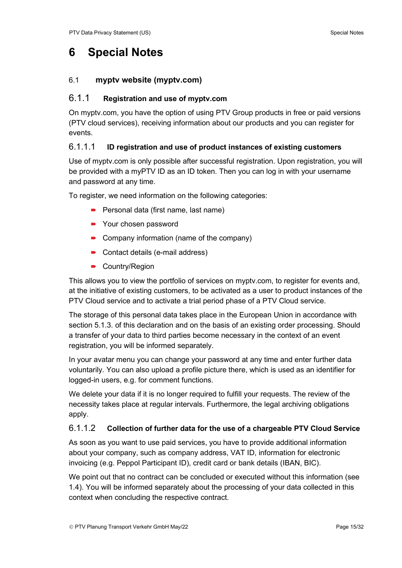# <span id="page-14-0"></span>**6 Special Notes**

# <span id="page-14-1"></span>6.1 **myptv website (myptv.com)**

# 6.1.1 **Registration and use of myptv.com**

On myptv.com, you have the option of using PTV Group products in free or paid versions (PTV cloud services), receiving information about our products and you can register for events.

# 6.1.1.1 **ID registration and use of product instances of existing customers**

Use of myptv.com is only possible after successful registration. Upon registration, you will be provided with a myPTV ID as an ID token. Then you can log in with your username and password at any time.

To register, we need information on the following categories:

- **Personal data (first name, last name)**
- Your chosen password
- Company information (name of the company)
- Contact details (e-mail address)
- Country/Region

This allows you to view the portfolio of services on myptv.com, to register for events and, at the initiative of existing customers, to be activated as a user to product instances of the PTV Cloud service and to activate a trial period phase of a PTV Cloud service.

The storage of this personal data takes place in the European Union in accordance with section 5.1.3. of this declaration and on the basis of an existing order processing. Should a transfer of your data to third parties become necessary in the context of an event registration, you will be informed separately.

In your avatar menu you can change your password at any time and enter further data voluntarily. You can also upload a profile picture there, which is used as an identifier for logged-in users, e.g. for comment functions.

We delete your data if it is no longer required to fulfill your requests. The review of the necessity takes place at regular intervals. Furthermore, the legal archiving obligations apply.

# 6.1.1.2 **Collection of further data for the use of a chargeable PTV Cloud Service**

As soon as you want to use paid services, you have to provide additional information about your company, such as company address, VAT ID, information for electronic invoicing (e.g. Peppol Participant ID), credit card or bank details (IBAN, BIC).

We point out that no contract can be concluded or executed without this information (see 1.4). You will be informed separately about the processing of your data collected in this context when concluding the respective contract.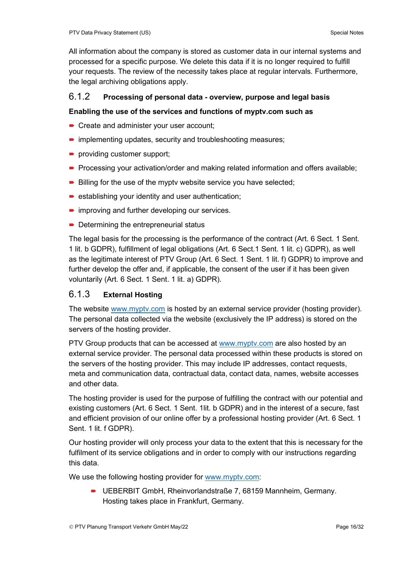All information about the company is stored as customer data in our internal systems and processed for a specific purpose. We delete this data if it is no longer required to fulfill your requests. The review of the necessity takes place at regular intervals. Furthermore, the legal archiving obligations apply.

# 6.1.2 **Processing of personal data - overview, purpose and legal basis**

#### **Enabling the use of the services and functions of myptv.com such as**

- **■** Create and administer your user account:
- $\blacksquare$  implementing updates, security and troubleshooting measures;
- **P** providing customer support;
- **Processing your activation/order and making related information and offers available;**
- $\blacktriangleright$  Billing for the use of the mypty website service you have selected;
- $\bullet$  establishing your identity and user authentication;
- $\blacksquare$  improving and further developing our services.
- $\blacksquare$  Determining the entrepreneurial status

The legal basis for the processing is the performance of the contract (Art. 6 Sect. 1 Sent. 1 lit. b GDPR), fulfillment of legal obligations (Art. 6 Sect.1 Sent. 1 lit. c) GDPR), as well as the legitimate interest of PTV Group (Art. 6 Sect. 1 Sent. 1 lit. f) GDPR) to improve and further develop the offer and, if applicable, the consent of the user if it has been given voluntarily (Art. 6 Sect. 1 Sent. 1 lit. a) GDPR).

# 6.1.3 **External Hosting**

The website [www.myptv.com](http://www.myptv.com/) is hosted by an external service provider (hosting provider). The personal data collected via the website (exclusively the IP address) is stored on the servers of the hosting provider.

PTV Group products that can be accessed at [www.myptv.com](http://www.myptv.com/) are also hosted by an external service provider. The personal data processed within these products is stored on the servers of the hosting provider. This may include IP addresses, contact requests, meta and communication data, contractual data, contact data, names, website accesses and other data.

The hosting provider is used for the purpose of fulfilling the contract with our potential and existing customers (Art. 6 Sect. 1 Sent. 1lit. b GDPR) and in the interest of a secure, fast and efficient provision of our online offer by a professional hosting provider (Art. 6 Sect. 1 Sent. 1 lit. f GDPR).

Our hosting provider will only process your data to the extent that this is necessary for the fulfilment of its service obligations and in order to comply with our instructions regarding this data.

We use the following hosting provider for [www.myptv.com:](http://www.myptv.com/)

**DEBERBIT GmbH, Rheinvorlandstraße 7, 68159 Mannheim, Germany.** Hosting takes place in Frankfurt, Germany.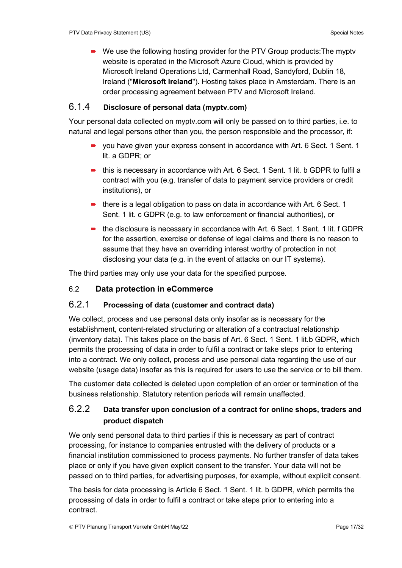We use the following hosting provider for the PTV Group products:The myptv website is operated in the Microsoft Azure Cloud, which is provided by Microsoft Ireland Operations Ltd, Carmenhall Road, Sandyford, Dublin 18, Ireland ("**Microsoft Ireland**"). Hosting takes place in Amsterdam. There is an order processing agreement between PTV and Microsoft Ireland.

# 6.1.4 **Disclosure of personal data (myptv.com)**

Your personal data collected on myptv.com will only be passed on to third parties, i.e. to natural and legal persons other than you, the person responsible and the processor, if:

- vou have given your express consent in accordance with Art. 6 Sect. 1 Sent. 1 lit. a GDPR; or
- this is necessary in accordance with Art. 6 Sect. 1 Sent. 1 lit. b GDPR to fulfil a contract with you (e.g. transfer of data to payment service providers or credit institutions), or
- $\bullet$  there is a legal obligation to pass on data in accordance with Art. 6 Sect. 1 Sent. 1 lit. c GDPR (e.g. to law enforcement or financial authorities), or
- $\blacksquare$  the disclosure is necessary in accordance with Art. 6 Sect. 1 Sent. 1 lit. f GDPR for the assertion, exercise or defense of legal claims and there is no reason to assume that they have an overriding interest worthy of protection in not disclosing your data (e.g. in the event of attacks on our IT systems).

The third parties may only use your data for the specified purpose.

# <span id="page-16-0"></span>6.2 **Data protection in eCommerce**

# 6.2.1 **Processing of data (customer and contract data)**

We collect, process and use personal data only insofar as is necessary for the establishment, content-related structuring or alteration of a contractual relationship (inventory data). This takes place on the basis of Art. 6 Sect. 1 Sent. 1 lit.b GDPR, which permits the processing of data in order to fulfil a contract or take steps prior to entering into a contract. We only collect, process and use personal data regarding the use of our website (usage data) insofar as this is required for users to use the service or to bill them.

The customer data collected is deleted upon completion of an order or termination of the business relationship. Statutory retention periods will remain unaffected.

# 6.2.2 **Data transfer upon conclusion of a contract for online shops, traders and product dispatch**

We only send personal data to third parties if this is necessary as part of contract processing, for instance to companies entrusted with the delivery of products or a financial institution commissioned to process payments. No further transfer of data takes place or only if you have given explicit consent to the transfer. Your data will not be passed on to third parties, for advertising purposes, for example, without explicit consent.

The basis for data processing is Article 6 Sect. 1 Sent. 1 lit. b GDPR, which permits the processing of data in order to fulfil a contract or take steps prior to entering into a contract.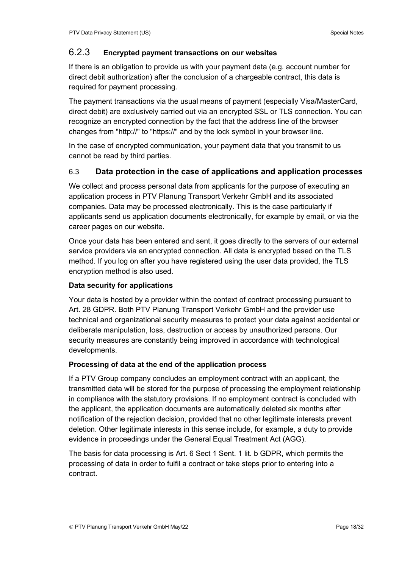# 6.2.3 **Encrypted payment transactions on our websites**

If there is an obligation to provide us with your payment data (e.g. account number for direct debit authorization) after the conclusion of a chargeable contract, this data is required for payment processing.

The payment transactions via the usual means of payment (especially Visa/MasterCard, direct debit) are exclusively carried out via an encrypted SSL or TLS connection. You can recognize an encrypted connection by the fact that the address line of the browser changes from "http://" to "https://" and by the lock symbol in your browser line.

In the case of encrypted communication, your payment data that you transmit to us cannot be read by third parties.

# <span id="page-17-0"></span>6.3 **Data protection in the case of applications and application processes**

We collect and process personal data from applicants for the purpose of executing an application process in PTV Planung Transport Verkehr GmbH and its associated companies. Data may be processed electronically. This is the case particularly if applicants send us application documents electronically, for example by email, or via the career pages on our website.

Once your data has been entered and sent, it goes directly to the servers of our external service providers via an encrypted connection. All data is encrypted based on the TLS method. If you log on after you have registered using the user data provided, the TLS encryption method is also used.

#### **Data security for applications**

Your data is hosted by a provider within the context of contract processing pursuant to Art. 28 GDPR. Both PTV Planung Transport Verkehr GmbH and the provider use technical and organizational security measures to protect your data against accidental or deliberate manipulation, loss, destruction or access by unauthorized persons. Our security measures are constantly being improved in accordance with technological developments.

#### **Processing of data at the end of the application process**

If a PTV Group company concludes an employment contract with an applicant, the transmitted data will be stored for the purpose of processing the employment relationship in compliance with the statutory provisions. If no employment contract is concluded with the applicant, the application documents are automatically deleted six months after notification of the rejection decision, provided that no other legitimate interests prevent deletion. Other legitimate interests in this sense include, for example, a duty to provide evidence in proceedings under the General Equal Treatment Act (AGG).

The basis for data processing is Art. 6 Sect 1 Sent. 1 lit. b GDPR, which permits the processing of data in order to fulfil a contract or take steps prior to entering into a contract.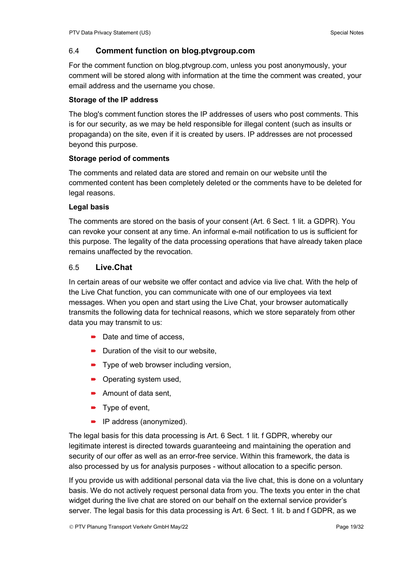#### <span id="page-18-0"></span>6.4 **Comment function on blog.ptvgroup.com**

For the comment function on blog.ptvgroup.com, unless you post anonymously, your comment will be stored along with information at the time the comment was created, your email address and the username you chose.

#### **Storage of the IP address**

The blog's comment function stores the IP addresses of users who post comments. This is for our security, as we may be held responsible for illegal content (such as insults or propaganda) on the site, even if it is created by users. IP addresses are not processed beyond this purpose.

#### **Storage period of comments**

The comments and related data are stored and remain on our website until the commented content has been completely deleted or the comments have to be deleted for legal reasons.

#### **Legal basis**

The comments are stored on the basis of your consent (Art. 6 Sect. 1 lit. a GDPR). You can revoke your consent at any time. An informal e-mail notification to us is sufficient for this purpose. The legality of the data processing operations that have already taken place remains unaffected by the revocation.

#### <span id="page-18-1"></span>6.5 **Live.Chat**

In certain areas of our website we offer contact and advice via live chat. With the help of the Live Chat function, you can communicate with one of our employees via text messages. When you open and start using the Live Chat, your browser automatically transmits the following data for technical reasons, which we store separately from other data you may transmit to us:

- $\rightarrow$  Date and time of access.
- $\blacksquare$  Duration of the visit to our website,
- $\blacksquare$  Type of web browser including version,
- Operating system used,
- Amount of data sent,
- Type of event,
- **P** IP address (anonymized).

The legal basis for this data processing is Art. 6 Sect. 1 lit. f GDPR, whereby our legitimate interest is directed towards guaranteeing and maintaining the operation and security of our offer as well as an error-free service. Within this framework, the data is also processed by us for analysis purposes - without allocation to a specific person.

If you provide us with additional personal data via the live chat, this is done on a voluntary basis. We do not actively request personal data from you. The texts you enter in the chat widget during the live chat are stored on our behalf on the external service provider's server. The legal basis for this data processing is Art. 6 Sect. 1 lit. b and f GDPR, as we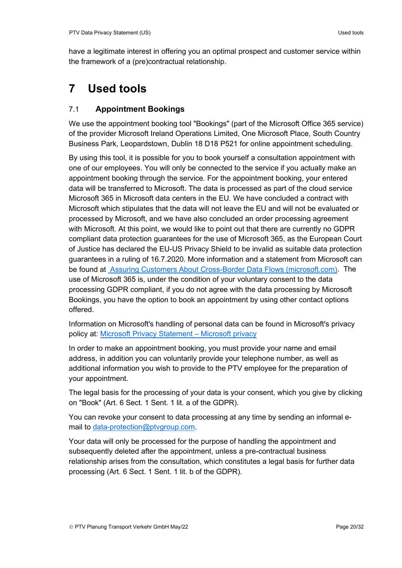have a legitimate interest in offering you an optimal prospect and customer service within the framework of a (pre)contractual relationship.

# <span id="page-19-0"></span>**7 Used tools**

# <span id="page-19-1"></span>7.1 **Appointment Bookings**

We use the appointment booking tool "Bookings" (part of the Microsoft Office 365 service) of the provider Microsoft Ireland Operations Limited, One Microsoft Place, South Country Business Park, Leopardstown, Dublin 18 D18 P521 for online appointment scheduling.

By using this tool, it is possible for you to book yourself a consultation appointment with one of our employees. You will only be connected to the service if you actually make an appointment booking through the service. For the appointment booking, your entered data will be transferred to Microsoft. The data is processed as part of the cloud service Microsoft 365 in Microsoft data centers in the EU. We have concluded a contract with Microsoft which stipulates that the data will not leave the EU and will not be evaluated or processed by Microsoft, and we have also concluded an order processing agreement with Microsoft. At this point, we would like to point out that there are currently no GDPR compliant data protection guarantees for the use of Microsoft 365, as the European Court of Justice has declared the EU-US Privacy Shield to be invalid as suitable data protection guarantees in a ruling of 16.7.2020. More information and a statement from Microsoft can be found at [Assuring Customers About Cross-Border Data Flows \(microsoft.com\).](https://news.microsoft.com/de-de/stellungnahme-zum-urteil-des-eugh-was-wir-unseren-kunden-zum-grenzueberschreitenden-datentransfer-bestaetigen-koennen/) The use of Microsoft 365 is, under the condition of your voluntary consent to the data processing GDPR compliant, if you do not agree with the data processing by Microsoft Bookings, you have the option to book an appointment by using other contact options offered.

Information on Microsoft's handling of personal data can be found in Microsoft's privacy policy at: [Microsoft Privacy Statement – Microsoft privacy](https://privacy.microsoft.com/en-us/privacystatement)

In order to make an appointment booking, you must provide your name and email address, in addition you can voluntarily provide your telephone number, as well as additional information you wish to provide to the PTV employee for the preparation of your appointment.

The legal basis for the processing of your data is your consent, which you give by clicking on "Book" (Art. 6 Sect. 1 Sent. 1 lit. a of the GDPR).

You can revoke your consent to data processing at any time by sending an informal email to [data-protection@ptvgroup.com.](mailto:data-protection@ptvgroup.com)

Your data will only be processed for the purpose of handling the appointment and subsequently deleted after the appointment, unless a pre-contractual business relationship arises from the consultation, which constitutes a legal basis for further data processing (Art. 6 Sect. 1 Sent. 1 lit. b of the GDPR).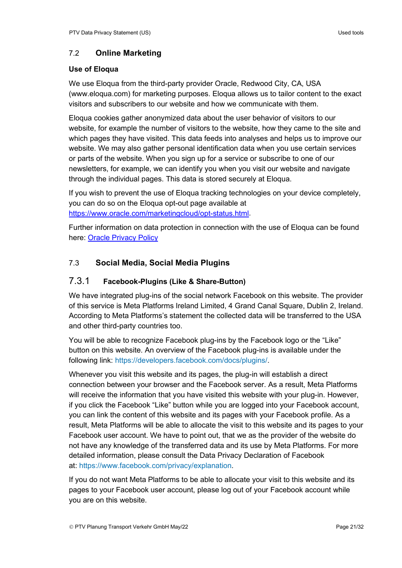# <span id="page-20-0"></span>7.2 **Online Marketing**

#### **Use of Eloqua**

We use Eloqua from the third-party provider Oracle, Redwood City, CA, USA (www.eloqua.com) for marketing purposes. Eloqua allows us to tailor content to the exact visitors and subscribers to our website and how we communicate with them.

Eloqua cookies gather anonymized data about the user behavior of visitors to our website, for example the number of visitors to the website, how they came to the site and which pages they have visited. This data feeds into analyses and helps us to improve our website. We may also gather personal identification data when you use certain services or parts of the website. When you sign up for a service or subscribe to one of our newsletters, for example, we can identify you when you visit our website and navigate through the individual pages. This data is stored securely at Eloqua.

If you wish to prevent the use of Eloqua tracking technologies on your device completely, you can do so on the Eloqua opt-out page available at [https://www.oracle.com/marketingcloud/opt-status.html.](https://www.oracle.com/marketingcloud/opt-status.html%C2%A0)

Further information on data protection in connection with the use of Eloqua can be found here: [Oracle Privacy Policy](https://www.oracle.com/legal/privacy/privacy-policy.html) 

#### <span id="page-20-1"></span>7.3 **Social Media, Social Media Plugins**

#### 7.3.1 **Facebook-Plugins (Like & Share-Button)**

We have integrated plug-ins of the social network Facebook on this website. The provider of this service is Meta Platforms Ireland Limited, 4 Grand Canal Square, Dublin 2, Ireland. According to Meta Platforms's statement the collected data will be transferred to the USA and other third-party countries too.

You will be able to recognize Facebook plug-ins by the Facebook logo or the "Like" button on this website. An overview of the Facebook plug-ins is available under the following link: [https://developers.facebook.com/docs/plugins/.](https://developers.facebook.com/docs/plugins/)

Whenever you visit this website and its pages, the plug-in will establish a direct connection between your browser and the Facebook server. As a result, Meta Platforms will receive the information that you have visited this website with your plug-in. However, if you click the Facebook "Like" button while you are logged into your Facebook account, you can link the content of this website and its pages with your Facebook profile. As a result, Meta Platforms will be able to allocate the visit to this website and its pages to your Facebook user account. We have to point out, that we as the provider of the website do not have any knowledge of the transferred data and its use by Meta Platforms. For more detailed information, please consult the Data Privacy Declaration of Facebook at: [https://www.facebook.com/privacy/explanation.](https://www.facebook.com/privacy/explanation)

If you do not want Meta Platforms to be able to allocate your visit to this website and its pages to your Facebook user account, please log out of your Facebook account while you are on this website.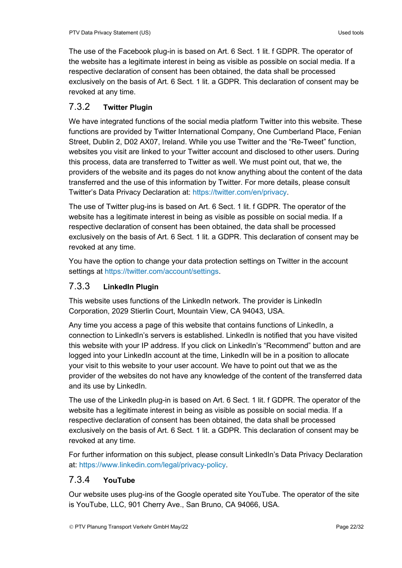The use of the Facebook plug-in is based on Art. 6 Sect. 1 lit. f GDPR. The operator of the website has a legitimate interest in being as visible as possible on social media. If a respective declaration of consent has been obtained, the data shall be processed exclusively on the basis of Art. 6 Sect. 1 lit. a GDPR. This declaration of consent may be revoked at any time.

# 7.3.2 **Twitter Plugin**

We have integrated functions of the social media platform Twitter into this website. These functions are provided by Twitter International Company, One Cumberland Place, Fenian Street, Dublin 2, D02 AX07, Ireland. While you use Twitter and the "Re-Tweet" function, websites you visit are linked to your Twitter account and disclosed to other users. During this process, data are transferred to Twitter as well. We must point out, that we, the providers of the website and its pages do not know anything about the content of the data transferred and the use of this information by Twitter. For more details, please consult Twitter's Data Privacy Declaration at: [https://twitter.com/en/privacy.](https://twitter.com/en/privacy)

The use of Twitter plug-ins is based on Art. 6 Sect. 1 lit. f GDPR. The operator of the website has a legitimate interest in being as visible as possible on social media. If a respective declaration of consent has been obtained, the data shall be processed exclusively on the basis of Art. 6 Sect. 1 lit. a GDPR. This declaration of consent may be revoked at any time.

You have the option to change your data protection settings on Twitter in the account settings at [https://twitter.com/account/settings.](https://twitter.com/account/settings)

# 7.3.3 **LinkedIn Plugin**

This website uses functions of the LinkedIn network. The provider is LinkedIn Corporation, 2029 Stierlin Court, Mountain View, CA 94043, USA.

Any time you access a page of this website that contains functions of LinkedIn, a connection to LinkedIn's servers is established. LinkedIn is notified that you have visited this website with your IP address. If you click on LinkedIn's "Recommend" button and are logged into your LinkedIn account at the time, LinkedIn will be in a position to allocate your visit to this website to your user account. We have to point out that we as the provider of the websites do not have any knowledge of the content of the transferred data and its use by LinkedIn.

The use of the LinkedIn plug-in is based on Art. 6 Sect. 1 lit. f GDPR. The operator of the website has a legitimate interest in being as visible as possible on social media. If a respective declaration of consent has been obtained, the data shall be processed exclusively on the basis of Art. 6 Sect. 1 lit. a GDPR. This declaration of consent may be revoked at any time.

For further information on this subject, please consult LinkedIn's Data Privacy Declaration at: [https://www.linkedin.com/legal/privacy-policy.](https://www.linkedin.com/legal/privacy-policy)

# 7.3.4 **YouTube**

Our website uses plug-ins of the Google operated site YouTube. The operator of the site is YouTube, LLC, 901 Cherry Ave., San Bruno, CA 94066, USA.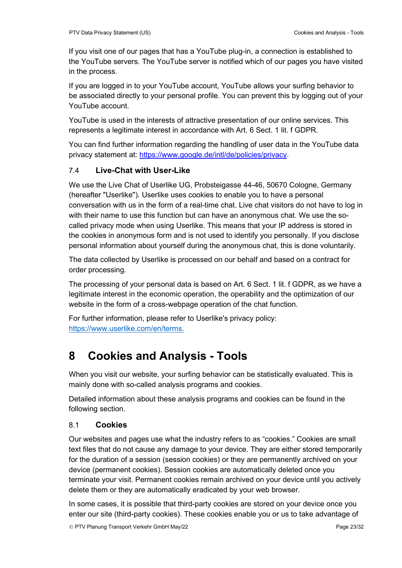If you visit one of our pages that has a YouTube plug-in, a connection is established to the YouTube servers. The YouTube server is notified which of our pages you have visited in the process.

If you are logged in to your YouTube account, YouTube allows your surfing behavior to be associated directly to your personal profile. You can prevent this by logging out of your YouTube account.

YouTube is used in the interests of attractive presentation of our online services. This represents a legitimate interest in accordance with Art. 6 Sect. 1 lit. f GDPR.

You can find further information regarding the handling of user data in the YouTube data privacy statement at: [https://www.google.de/intl/de/policies/privacy.](https://www.google.de/intl/de/policies/privacy)

# <span id="page-22-0"></span>7.4 **Live-Chat with User-Like**

We use the Live Chat of Userlike UG, Probsteigasse 44-46, 50670 Cologne, Germany (hereafter "Userlike"). Userlike uses cookies to enable you to have a personal conversation with us in the form of a real-time chat. Live chat visitors do not have to log in with their name to use this function but can have an anonymous chat. We use the socalled privacy mode when using Userlike. This means that your IP address is stored in the cookies in anonymous form and is not used to identify you personally. If you disclose personal information about yourself during the anonymous chat, this is done voluntarily.

The data collected by Userlike is processed on our behalf and based on a contract for order processing.

The processing of your personal data is based on Art. 6 Sect. 1 lit. f GDPR, as we have a legitimate interest in the economic operation, the operability and the optimization of our website in the form of a cross-webpage operation of the chat function.

For further information, please refer to Userlike's privacy policy: [https://www.userlike.com/en/terms.](https://www.userlike.com/en/terms)

# <span id="page-22-1"></span>**8 Cookies and Analysis - Tools**

When you visit our website, your surfing behavior can be statistically evaluated. This is mainly done with so-called analysis programs and cookies.

Detailed information about these analysis programs and cookies can be found in the following section.

# <span id="page-22-2"></span>8.1 **Cookies**

Our websites and pages use what the industry refers to as "cookies." Cookies are small text files that do not cause any damage to your device. They are either stored temporarily for the duration of a session (session cookies) or they are permanently archived on your device (permanent cookies). Session cookies are automatically deleted once you terminate your visit. Permanent cookies remain archived on your device until you actively delete them or they are automatically eradicated by your web browser.

In some cases, it is possible that third-party cookies are stored on your device once you enter our site (third-party cookies). These cookies enable you or us to take advantage of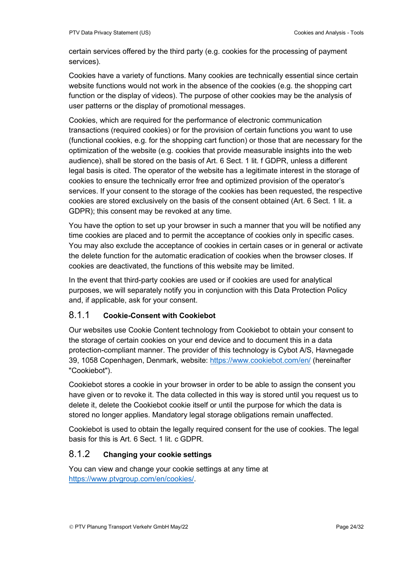certain services offered by the third party (e.g. cookies for the processing of payment services).

Cookies have a variety of functions. Many cookies are technically essential since certain website functions would not work in the absence of the cookies (e.g. the shopping cart function or the display of videos). The purpose of other cookies may be the analysis of user patterns or the display of promotional messages.

Cookies, which are required for the performance of electronic communication transactions (required cookies) or for the provision of certain functions you want to use (functional cookies, e.g. for the shopping cart function) or those that are necessary for the optimization of the website (e.g. cookies that provide measurable insights into the web audience), shall be stored on the basis of Art. 6 Sect. 1 lit. f GDPR, unless a different legal basis is cited. The operator of the website has a legitimate interest in the storage of cookies to ensure the technically error free and optimized provision of the operator's services. If your consent to the storage of the cookies has been requested, the respective cookies are stored exclusively on the basis of the consent obtained (Art. 6 Sect. 1 lit. a GDPR); this consent may be revoked at any time.

You have the option to set up your browser in such a manner that you will be notified any time cookies are placed and to permit the acceptance of cookies only in specific cases. You may also exclude the acceptance of cookies in certain cases or in general or activate the delete function for the automatic eradication of cookies when the browser closes. If cookies are deactivated, the functions of this website may be limited.

In the event that third-party cookies are used or if cookies are used for analytical purposes, we will separately notify you in conjunction with this Data Protection Policy and, if applicable, ask for your consent.

# 8.1.1 **Cookie-Consent with Cookiebot**

Our websites use Cookie Content technology from Cookiebot to obtain your consent to the storage of certain cookies on your end device and to document this in a data protection-compliant manner. The provider of this technology is Cybot A/S, Havnegade 39, 1058 Copenhagen, Denmark, website:<https://www.cookiebot.com/en/> (hereinafter "Cookiebot").

Cookiebot stores a cookie in your browser in order to be able to assign the consent you have given or to revoke it. The data collected in this way is stored until you request us to delete it, delete the Cookiebot cookie itself or until the purpose for which the data is stored no longer applies. Mandatory legal storage obligations remain unaffected.

Cookiebot is used to obtain the legally required consent for the use of cookies. The legal basis for this is Art. 6 Sect. 1 lit. c GDPR.

# 8.1.2 **Changing your cookie settings**

You can view and change your cookie settings at any time at [https://www.ptvgroup.com/en/cookies/.](https://www.ptvgroup.com/en/cookies/)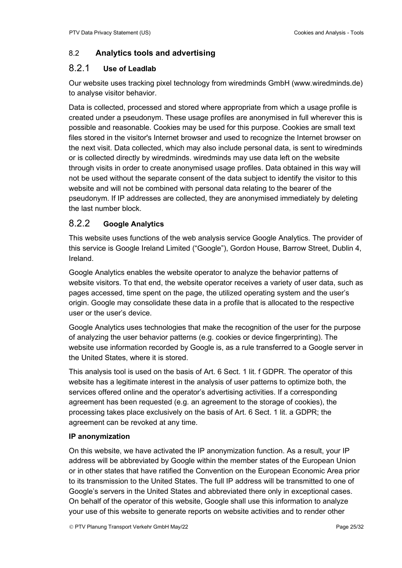# <span id="page-24-0"></span>8.2 **Analytics tools and advertising**

# 8.2.1 **Use of Leadlab**

Our website uses tracking pixel technology from wiredminds GmbH (www.wiredminds.de) to analyse visitor behavior.

Data is collected, processed and stored where appropriate from which a usage profile is created under a pseudonym. These usage profiles are anonymised in full wherever this is possible and reasonable. Cookies may be used for this purpose. Cookies are small text files stored in the visitor's Internet browser and used to recognize the Internet browser on the next visit. Data collected, which may also include personal data, is sent to wiredminds or is collected directly by wiredminds. wiredminds may use data left on the website through visits in order to create anonymised usage profiles. Data obtained in this way will not be used without the separate consent of the data subject to identify the visitor to this website and will not be combined with personal data relating to the bearer of the pseudonym. If IP addresses are collected, they are anonymised immediately by deleting the last number block.

# 8.2.2 **Google Analytics**

This website uses functions of the web analysis service Google Analytics. The provider of this service is Google Ireland Limited ("Google"), Gordon House, Barrow Street, Dublin 4, Ireland.

Google Analytics enables the website operator to analyze the behavior patterns of website visitors. To that end, the website operator receives a variety of user data, such as pages accessed, time spent on the page, the utilized operating system and the user's origin. Google may consolidate these data in a profile that is allocated to the respective user or the user's device.

Google Analytics uses technologies that make the recognition of the user for the purpose of analyzing the user behavior patterns (e.g. cookies or device fingerprinting). The website use information recorded by Google is, as a rule transferred to a Google server in the United States, where it is stored.

This analysis tool is used on the basis of Art. 6 Sect. 1 lit. f GDPR. The operator of this website has a legitimate interest in the analysis of user patterns to optimize both, the services offered online and the operator's advertising activities. If a corresponding agreement has been requested (e.g. an agreement to the storage of cookies), the processing takes place exclusively on the basis of Art. 6 Sect. 1 lit. a GDPR; the agreement can be revoked at any time.

# **IP anonymization**

On this website, we have activated the IP anonymization function. As a result, your IP address will be abbreviated by Google within the member states of the European Union or in other states that have ratified the Convention on the European Economic Area prior to its transmission to the United States. The full IP address will be transmitted to one of Google's servers in the United States and abbreviated there only in exceptional cases. On behalf of the operator of this website, Google shall use this information to analyze your use of this website to generate reports on website activities and to render other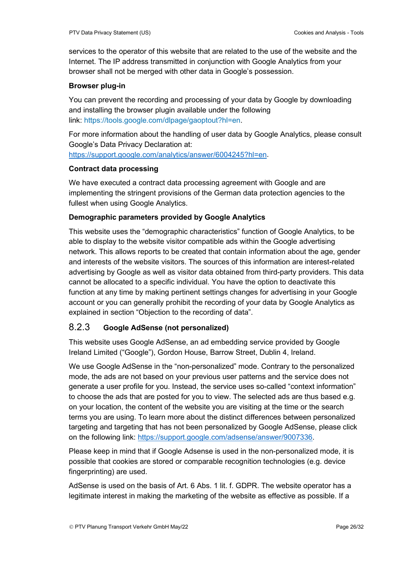services to the operator of this website that are related to the use of the website and the Internet. The IP address transmitted in conjunction with Google Analytics from your browser shall not be merged with other data in Google's possession.

#### **Browser plug-in**

You can prevent the recording and processing of your data by Google by downloading and installing the browser plugin available under the following link: [https://tools.google.com/dlpage/gaoptout?hl=en.](https://tools.google.com/dlpage/gaoptout?hl=en)

For more information about the handling of user data by Google Analytics, please consult Google's Data Privacy Declaration at: [https://support.google.com/analytics/answer/6004245?hl=en.](https://support.google.com/analytics/answer/6004245?hl=en)

#### **Contract data processing**

We have executed a contract data processing agreement with Google and are implementing the stringent provisions of the German data protection agencies to the fullest when using Google Analytics.

#### **Demographic parameters provided by Google Analytics**

This website uses the "demographic characteristics" function of Google Analytics, to be able to display to the website visitor compatible ads within the Google advertising network. This allows reports to be created that contain information about the age, gender and interests of the website visitors. The sources of this information are interest-related advertising by Google as well as visitor data obtained from third-party providers. This data cannot be allocated to a specific individual. You have the option to deactivate this function at any time by making pertinent settings changes for advertising in your Google account or you can generally prohibit the recording of your data by Google Analytics as explained in section "Objection to the recording of data".

# 8.2.3 **Google AdSense (not personalized)**

This website uses Google AdSense, an ad embedding service provided by Google Ireland Limited ("Google"), Gordon House, Barrow Street, Dublin 4, Ireland.

We use Google AdSense in the "non-personalized" mode. Contrary to the personalized mode, the ads are not based on your previous user patterns and the service does not generate a user profile for you. Instead, the service uses so-called "context information" to choose the ads that are posted for you to view. The selected ads are thus based e.g. on your location, the content of the website you are visiting at the time or the search terms you are using. To learn more about the distinct differences between personalized targeting and targeting that has not been personalized by Google AdSense, please click on the following link: [https://support.google.com/adsense/answer/9007336.](https://support.google.com/adsense/answer/9007336)

Please keep in mind that if Google Adsense is used in the non-personalized mode, it is possible that cookies are stored or comparable recognition technologies (e.g. device fingerprinting) are used.

AdSense is used on the basis of Art. 6 Abs. 1 lit. f. GDPR. The website operator has a legitimate interest in making the marketing of the website as effective as possible. If a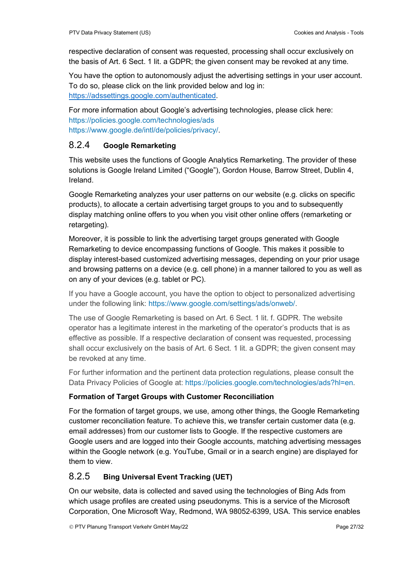respective declaration of consent was requested, processing shall occur exclusively on the basis of Art. 6 Sect. 1 lit. a GDPR; the given consent may be revoked at any time.

You have the option to autonomously adjust the advertising settings in your user account. To do so, please click on the link provided below and log in: [https://adssettings.google.com/authenticated.](https://adssettings.google.com/authenticated)

For more information about Google's advertising technologies, please click here: <https://policies.google.com/technologies/ads> [https://www.google.de/intl/de/policies/privacy/.](https://www.google.de/intl/de/policies/privacy/)

# 8.2.4 **Google Remarketing**

This website uses the functions of Google Analytics Remarketing. The provider of these solutions is Google Ireland Limited ("Google"), Gordon House, Barrow Street, Dublin 4, Ireland.

Google Remarketing analyzes your user patterns on our website (e.g. clicks on specific products), to allocate a certain advertising target groups to you and to subsequently display matching online offers to you when you visit other online offers (remarketing or retargeting).

Moreover, it is possible to link the advertising target groups generated with Google Remarketing to device encompassing functions of Google. This makes it possible to display interest-based customized advertising messages, depending on your prior usage and browsing patterns on a device (e.g. cell phone) in a manner tailored to you as well as on any of your devices (e.g. tablet or PC).

If you have a Google account, you have the option to object to personalized advertising under the following link: [https://www.google.com/settings/ads/onweb/.](https://www.google.com/settings/ads/onweb/)

The use of Google Remarketing is based on Art. 6 Sect. 1 lit. f. GDPR. The website operator has a legitimate interest in the marketing of the operator's products that is as effective as possible. If a respective declaration of consent was requested, processing shall occur exclusively on the basis of Art. 6 Sect. 1 lit. a GDPR; the given consent may be revoked at any time.

For further information and the pertinent data protection regulations, please consult the Data Privacy Policies of Google at: [https://policies.google.com/technologies/ads?hl=en.](https://policies.google.com/technologies/ads?hl=en)

# **Formation of Target Groups with Customer Reconciliation**

For the formation of target groups, we use, among other things, the Google Remarketing customer reconciliation feature. To achieve this, we transfer certain customer data (e.g. email addresses) from our customer lists to Google. If the respective customers are Google users and are logged into their Google accounts, matching advertising messages within the Google network (e.g. YouTube, Gmail or in a search engine) are displayed for them to view.

# 8.2.5 **Bing Universal Event Tracking (UET)**

On our website, data is collected and saved using the technologies of Bing Ads from which usage profiles are created using pseudonyms. This is a service of the Microsoft Corporation, One Microsoft Way, Redmond, WA 98052-6399, USA. This service enables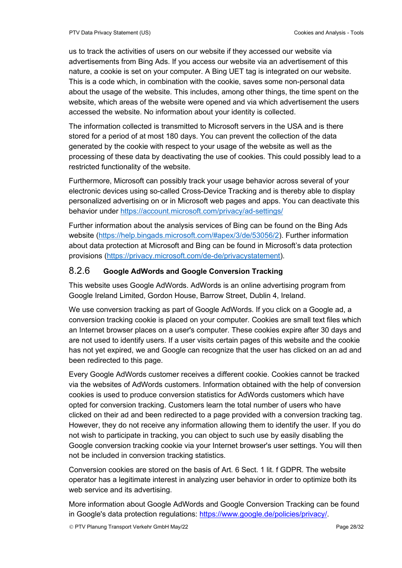us to track the activities of users on our website if they accessed our website via advertisements from Bing Ads. If you access our website via an advertisement of this nature, a cookie is set on your computer. A Bing UET tag is integrated on our website. This is a code which, in combination with the cookie, saves some non-personal data about the usage of the website. This includes, among other things, the time spent on the website, which areas of the website were opened and via which advertisement the users accessed the website. No information about your identity is collected.

The information collected is transmitted to Microsoft servers in the USA and is there stored for a period of at most 180 days. You can prevent the collection of the data generated by the cookie with respect to your usage of the website as well as the processing of these data by deactivating the use of cookies. This could possibly lead to a restricted functionality of the website.

Furthermore, Microsoft can possibly track your usage behavior across several of your electronic devices using so-called Cross-Device Tracking and is thereby able to display personalized advertising on or in Microsoft web pages and apps. You can deactivate this behavior under<https://account.microsoft.com/privacy/ad-settings/>

Further information about the analysis services of Bing can be found on the Bing Ads website [\(https://help.bingads.microsoft.com/#apex/3/de/53056/2\)](https://help.bingads.microsoft.com/#apex/3/de/53056/2). Further information about data protection at Microsoft and Bing can be found in Microsoft's data protection provisions [\(https://privacy.microsoft.com/de-de/privacystatement\)](https://privacy.microsoft.com/de-de/privacystatement).

# 8.2.6 **Google AdWords and Google Conversion Tracking**

This website uses Google AdWords. AdWords is an online advertising program from Google Ireland Limited, Gordon House, Barrow Street, Dublin 4, Ireland.

We use conversion tracking as part of Google AdWords. If you click on a Google ad, a conversion tracking cookie is placed on your computer. Cookies are small text files which an Internet browser places on a user's computer. These cookies expire after 30 days and are not used to identify users. If a user visits certain pages of this website and the cookie has not yet expired, we and Google can recognize that the user has clicked on an ad and been redirected to this page.

Every Google AdWords customer receives a different cookie. Cookies cannot be tracked via the websites of AdWords customers. Information obtained with the help of conversion cookies is used to produce conversion statistics for AdWords customers which have opted for conversion tracking. Customers learn the total number of users who have clicked on their ad and been redirected to a page provided with a conversion tracking tag. However, they do not receive any information allowing them to identify the user. If you do not wish to participate in tracking, you can object to such use by easily disabling the Google conversion tracking cookie via your Internet browser's user settings. You will then not be included in conversion tracking statistics.

Conversion cookies are stored on the basis of Art. 6 Sect. 1 lit. f GDPR. The website operator has a legitimate interest in analyzing user behavior in order to optimize both its web service and its advertising.

More information about Google AdWords and Google Conversion Tracking can be found in Google's data protection regulations: [https://www.google.de/policies/privacy/.](https://www.google.de/policies/privacy/)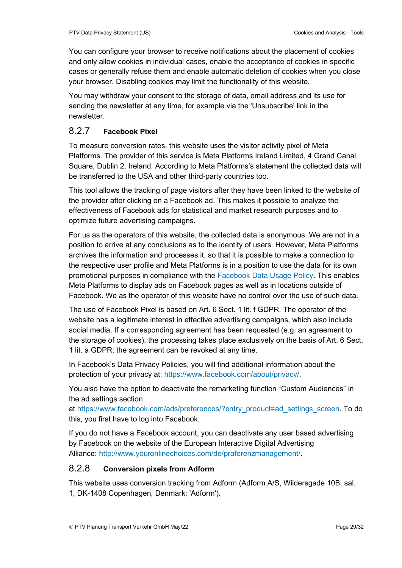You can configure your browser to receive notifications about the placement of cookies and only allow cookies in individual cases, enable the acceptance of cookies in specific cases or generally refuse them and enable automatic deletion of cookies when you close your browser. Disabling cookies may limit the functionality of this website.

You may withdraw your consent to the storage of data, email address and its use for sending the newsletter at any time, for example via the 'Unsubscribe' link in the newsletter.

# 8.2.7 **Facebook Pixel**

To measure conversion rates, this website uses the visitor activity pixel of Meta Platforms. The provider of this service is Meta Platforms Ireland Limited, 4 Grand Canal Square, Dublin 2, Ireland. According to Meta Platforms's statement the collected data will be transferred to the USA and other third-party countries too.

This tool allows the tracking of page visitors after they have been linked to the website of the provider after clicking on a Facebook ad. This makes it possible to analyze the effectiveness of Facebook ads for statistical and market research purposes and to optimize future advertising campaigns.

For us as the operators of this website, the collected data is anonymous. We are not in a position to arrive at any conclusions as to the identity of users. However, Meta Platforms archives the information and processes it, so that it is possible to make a connection to the respective user profile and Meta Platforms is in a position to use the data for its own promotional purposes in compliance with the [Facebook](https://www.facebook.com/about/privacy/) Data Usage Policy. This enables Meta Platforms to display ads on Facebook pages as well as in locations outside of Facebook. We as the operator of this website have no control over the use of such data.

The use of Facebook Pixel is based on Art. 6 Sect. 1 lit. f GDPR. The operator of the website has a legitimate interest in effective advertising campaigns, which also include social media. If a corresponding agreement has been requested (e.g. an agreement to the storage of cookies), the processing takes place exclusively on the basis of Art. 6 Sect. 1 lit. a GDPR; the agreement can be revoked at any time.

In Facebook's Data Privacy Policies, you will find additional information about the protection of your privacy at: [https://www.facebook.com/about/privacy/.](https://www.facebook.com/about/privacy/)

You also have the option to deactivate the remarketing function "Custom Audiences" in the ad settings section

at [https://www.facebook.com/ads/preferences/?entry\\_product=ad\\_settings\\_screen.](https://www.facebook.com/ads/preferences/?entry_product=ad_settings_screen) To do this, you first have to log into Facebook.

If you do not have a Facebook account, you can deactivate any user based advertising by Facebook on the website of the European Interactive Digital Advertising Alliance: [http://www.youronlinechoices.com/de/praferenzmanagement/.](http://www.youronlinechoices.com/de/praferenzmanagement/)

# 8.2.8 **Conversion pixels from Adform**

This website uses conversion tracking from Adform (Adform A/S, Wildersgade 10B, sal. 1, DK-1408 Copenhagen, Denmark; 'Adform').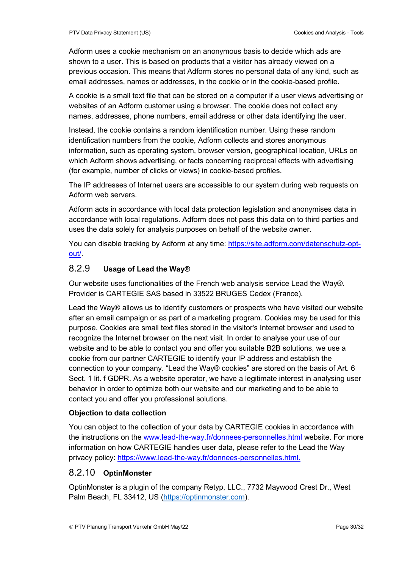Adform uses a cookie mechanism on an anonymous basis to decide which ads are shown to a user. This is based on products that a visitor has already viewed on a previous occasion. This means that Adform stores no personal data of any kind, such as email addresses, names or addresses, in the cookie or in the cookie-based profile.

A cookie is a small text file that can be stored on a computer if a user views advertising or websites of an Adform customer using a browser. The cookie does not collect any names, addresses, phone numbers, email address or other data identifying the user.

Instead, the cookie contains a random identification number. Using these random identification numbers from the cookie, Adform collects and stores anonymous information, such as operating system, browser version, geographical location, URLs on which Adform shows advertising, or facts concerning reciprocal effects with advertising (for example, number of clicks or views) in cookie-based profiles.

The IP addresses of Internet users are accessible to our system during web requests on Adform web servers.

Adform acts in accordance with local data protection legislation and anonymises data in accordance with local regulations. Adform does not pass this data on to third parties and uses the data solely for analysis purposes on behalf of the website owner.

You can disable tracking by Adform at any time: [https://site.adform.com/datenschutz-opt](https://site.adform.com/datenschutz-opt-out/)[out/.](https://site.adform.com/datenschutz-opt-out/)

# 8.2.9 **Usage of Lead the Way®**

Our website uses functionalities of the French web analysis service Lead the Way®. Provider is CARTEGIE SAS based in 33522 BRUGES Cedex (France).

Lead the Way® allows us to identify customers or prospects who have visited our website after an email campaign or as part of a marketing program. Cookies may be used for this purpose. Cookies are small text files stored in the visitor's Internet browser and used to recognize the Internet browser on the next visit. In order to analyse your use of our website and to be able to contact you and offer you suitable B2B solutions, we use a cookie from our partner CARTEGIE to identify your IP address and establish the connection to your company. "Lead the Way® cookies" are stored on the basis of Art. 6 Sect. 1 lit. f GDPR. As a website operator, we have a legitimate interest in analysing user behavior in order to optimize both our website and our marketing and to be able to contact you and offer you professional solutions.

# **Objection to data collection**

You can object to the collection of your data by CARTEGIE cookies in accordance with the instructions on the [www.lead-the-way.fr/donnees-personnelles.html](https://www.lead-the-way.fr/donnees-personnelles.html) website. For more information on how CARTEGIE handles user data, please refer to the Lead the Way privacy policy:<https://www.lead-the-way.fr/donnees-personnelles.html.>

# 8.2.10 **OptinMonster**

OptinMonster is a plugin of the company Retyp, LLC., 7732 Maywood Crest Dr., West Palm Beach, FL 33412, US [\(https://optinmonster.com\)](https://optinmonster.com/).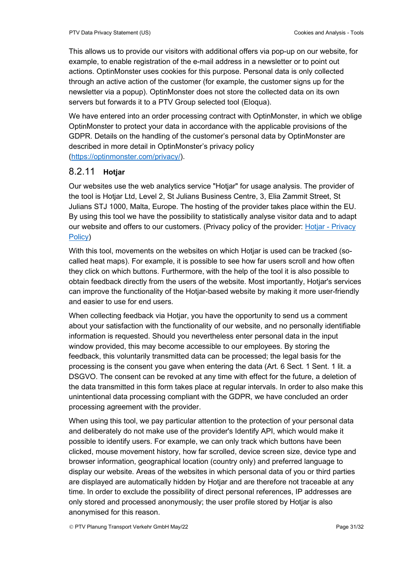This allows us to provide our visitors with additional offers via pop-up on our website, for example, to enable registration of the e-mail address in a newsletter or to point out actions. OptinMonster uses cookies for this purpose. Personal data is only collected through an active action of the customer (for example, the customer signs up for the newsletter via a popup). OptinMonster does not store the collected data on its own servers but forwards it to a PTV Group selected tool (Eloqua).

We have entered into an order processing contract with OptinMonster, in which we oblige OptinMonster to protect your data in accordance with the applicable provisions of the GDPR. Details on the handling of the customer's personal data by OptinMonster are described in more detail in OptinMonster's privacy policy [\(https://optinmonster.com/privacy/\)](https://optinmonster.com/privacy/).

# 8.2.11 **Hotjar**

Our websites use the web analytics service "Hotjar" for usage analysis. The provider of the tool is Hotjar Ltd, Level 2, St Julians Business Centre, 3, Elia Zammit Street, St Julians STJ 1000, Malta, Europe. The hosting of the provider takes place within the EU. By using this tool we have the possibility to statistically analyse visitor data and to adapt our website and offers to our customers. (Privacy policy of the provider: Hotiar - Privacy [Policy\)](https://www.hotjar.com/legal/policies/privacy/)

With this tool, movements on the websites on which Hotjar is used can be tracked (socalled heat maps). For example, it is possible to see how far users scroll and how often they click on which buttons. Furthermore, with the help of the tool it is also possible to obtain feedback directly from the users of the website. Most importantly, Hotjar's services can improve the functionality of the Hotjar-based website by making it more user-friendly and easier to use for end users.

When collecting feedback via Hotjar, you have the opportunity to send us a comment about your satisfaction with the functionality of our website, and no personally identifiable information is requested. Should you nevertheless enter personal data in the input window provided, this may become accessible to our employees. By storing the feedback, this voluntarily transmitted data can be processed; the legal basis for the processing is the consent you gave when entering the data (Art. 6 Sect. 1 Sent. 1 lit. a DSGVO. The consent can be revoked at any time with effect for the future, a deletion of the data transmitted in this form takes place at regular intervals. In order to also make this unintentional data processing compliant with the GDPR, we have concluded an order processing agreement with the provider.

When using this tool, we pay particular attention to the protection of your personal data and deliberately do not make use of the provider's Identify API, which would make it possible to identify users. For example, we can only track which buttons have been clicked, mouse movement history, how far scrolled, device screen size, device type and browser information, geographical location (country only) and preferred language to display our website. Areas of the websites in which personal data of you or third parties are displayed are automatically hidden by Hotjar and are therefore not traceable at any time. In order to exclude the possibility of direct personal references, IP addresses are only stored and processed anonymously; the user profile stored by Hotjar is also anonymised for this reason.